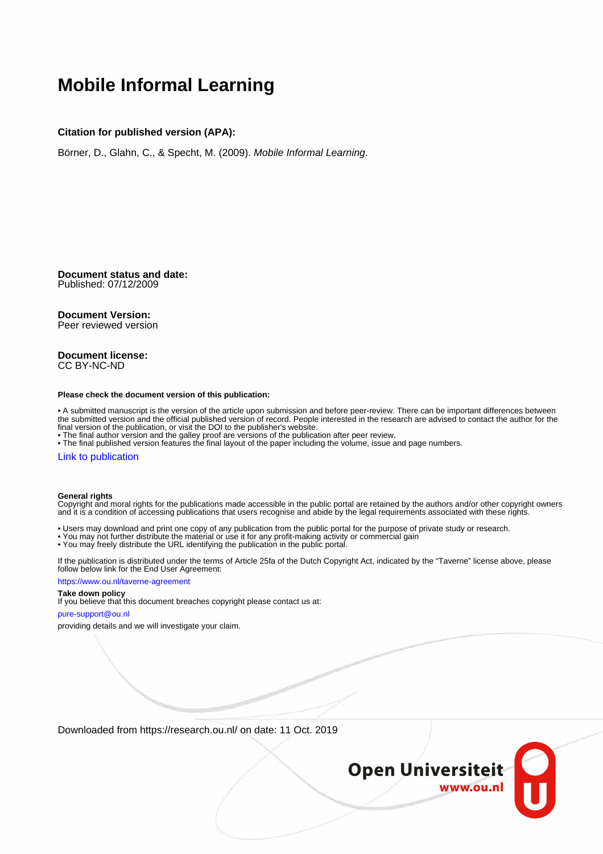# **Mobile Informal Learning**

#### **Citation for published version (APA):**

Börner, D., Glahn, C., & Specht, M. (2009). Mobile Informal Learning.

**Document status and date:** Published: 07/12/2009

## **Document Version:**

Peer reviewed version

#### **Document license:** CC BY-NC-ND

#### **Please check the document version of this publication:**

• A submitted manuscript is the version of the article upon submission and before peer-review. There can be important differences between the submitted version and the official published version of record. People interested in the research are advised to contact the author for the final version of the publication, or visit the DOI to the publisher's website.

• The final author version and the galley proof are versions of the publication after peer review.

• The final published version features the final layout of the paper including the volume, issue and page numbers.

#### [Link to publication](https://research.ou.nl/en/publications/e34debee-3c58-4b45-826a-a8c83732a600)

#### **General rights**

Copyright and moral rights for the publications made accessible in the public portal are retained by the authors and/or other copyright owners and it is a condition of accessing publications that users recognise and abide by the legal requirements associated with these rights.

- Users may download and print one copy of any publication from the public portal for the purpose of private study or research.
- You may not further distribute the material or use it for any profit-making activity or commercial gain
- You may freely distribute the URL identifying the publication in the public portal.

If the publication is distributed under the terms of Article 25fa of the Dutch Copyright Act, indicated by the "Taverne" license above, please follow below link for the End User Agreement:

#### https://www.ou.nl/taverne-agreement

### **Take down policy**

If you believe that this document breaches copyright please contact us at:

#### pure-support@ou.nl

providing details and we will investigate your claim.

Downloaded from https://research.ou.nl/ on date: 11 Oct. 2019